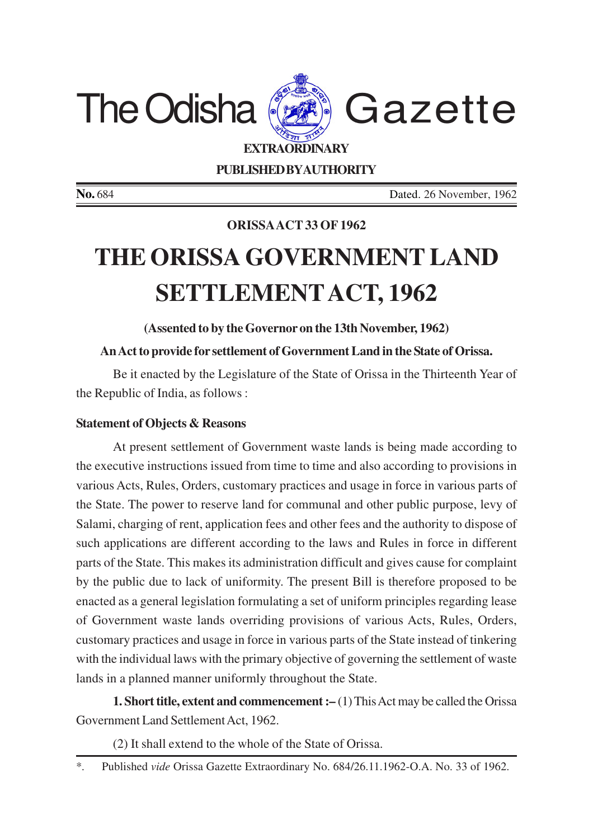

**PUBLISHED BYAUTHORITY**

**No.** 684 Dated. 26 November, 1962

## **ORISSAACT 33 OF 1962**

## **THE ORISSA GOVERNMENT LAND SETTLEMENTACT, 1962**

**(Assented to by the Governor on the 13th November, 1962)**

## **An Act to provide for settlement of Government Land in the State of Orissa.**

Be it enacted by the Legislature of the State of Orissa in the Thirteenth Year of the Republic of India, as follows :

## **Statement of Objects & Reasons**

At present settlement of Government waste lands is being made according to the executive instructions issued from time to time and also according to provisions in various Acts, Rules, Orders, customary practices and usage in force in various parts of the State. The power to reserve land for communal and other public purpose, levy of Salami, charging of rent, application fees and other fees and the authority to dispose of such applications are different according to the laws and Rules in force in different parts of the State. This makes its administration difficult and gives cause for complaint by the public due to lack of uniformity. The present Bill is therefore proposed to be enacted as a general legislation formulating a set of uniform principles regarding lease of Government waste lands overriding provisions of various Acts, Rules, Orders, customary practices and usage in force in various parts of the State instead of tinkering with the individual laws with the primary objective of governing the settlement of waste lands in a planned manner uniformly throughout the State.

**1. Short title, extent and commencement :–** (1) This Act may be called the Orissa Government Land Settlement Act, 1962.

(2) It shall extend to the whole of the State of Orissa.

<sup>\*.</sup> Published *vide* Orissa Gazette Extraordinary No. 684/26.11.1962-O.A. No. 33 of 1962.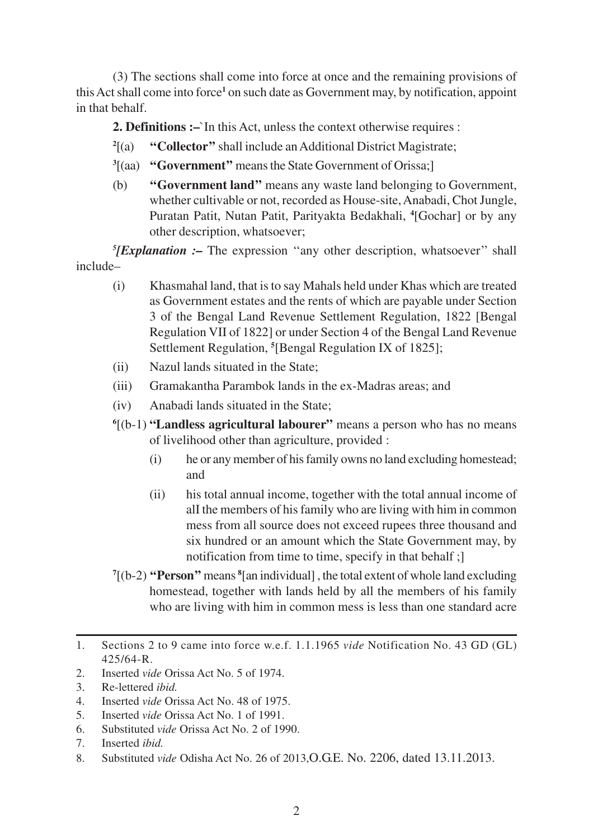(3) The sections shall come into force at once and the remaining provisions of this Act shall come into force<sup>1</sup> on such date as Government may, by notification, appoint in that behalf.

**2. Definitions :–**`In this Act, unless the context otherwise requires :

- $^{2}[(a)]$ "Collector" shall include an Additional District Magistrate;
- **3** [(aa) **''Government''** means the State Government of Orissa;]
- (b) **''Government land''** means any waste land belonging to Government, whether cultivable or not, recorded as House-site, Anabadi, Chot Jungle, Puratan Patit, Nutan Patit, Parityakta Bedakhali, **<sup>4</sup>** [Gochar] or by any other description, whatsoever;

*5 [Explanation :–* The expression ''any other description, whatsoever'' shall include–

- (i) Khasmahal land, that is to say Mahals held under Khas which are treated as Government estates and the rents of which are payable under Section 3 of the Bengal Land Revenue Settlement Regulation, 1822 [Bengal Regulation VII of 1822] or under Section 4 of the Bengal Land Revenue Settlement Regulation, **<sup>5</sup>** [Bengal Regulation IX of 1825];
- (ii) Nazul lands situated in the State;
- (iii) Gramakantha Parambok lands in the ex-Madras areas; and
- (iv) Anabadi lands situated in the State;
- **6** [(b-1) **"Landless agricultural labourer"** means a person who has no means of livelihood other than agriculture, provided :
	- (i) he or any member of his family owns no land excluding homestead; and
	- (ii) his total annual income, together with the total annual income of alI the members of his family who are living with him in common mess from all source does not exceed rupees three thousand and six hundred or an amount which the State Government may, by notification from time to time, specify in that behalf ;]
- **7** [(b-2) **''Person''** means **<sup>8</sup>** [an individual] , the total extent of whole land excluding homestead, together with lands held by all the members of his family who are living with him in common mess is less than one standard acre

<sup>1.</sup> Sections 2 to 9 came into force w.e.f. 1.1.1965 *vide* Notification No. 43 GD (GL) 425/64-R.

<sup>2.</sup> Inserted *vide* Orissa Act No. 5 of 1974.

<sup>3.</sup> Re-lettered *ibid.*

<sup>4.</sup> Inserted *vide* Orissa Act No. 48 of 1975.

<sup>5.</sup> Inserted *vide* Orissa Act No. 1 of 1991.

<sup>6.</sup> Substituted *vide* Orissa Act No. 2 of 1990.

<sup>7.</sup> Inserted *ibid.*

<sup>8.</sup> Substituted *vide* Odisha Act No. 26 of 2013,O.G.E. No. 2206, dated 13.11.2013.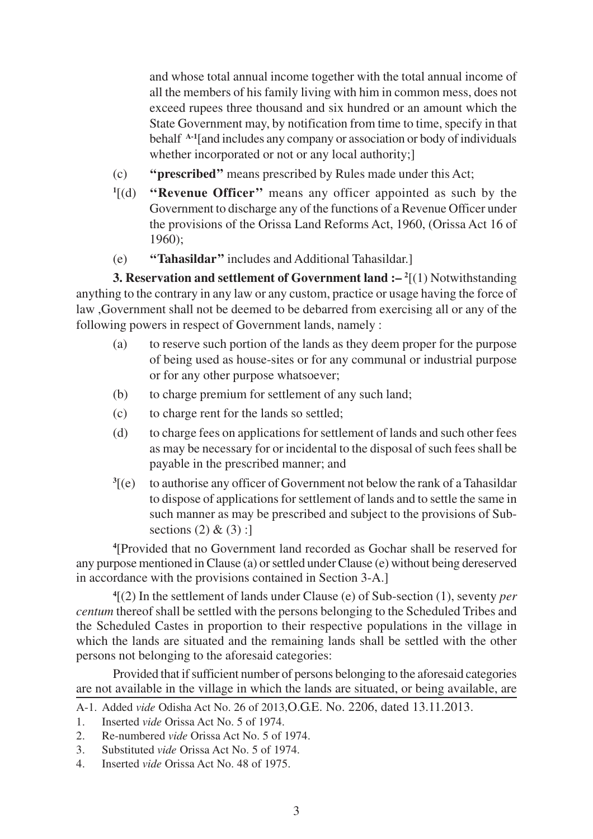and whose total annual income together with the total annual income of all the members of his family living with him in common mess, does not exceed rupees three thousand and six hundred or an amount which the State Government may, by notification from time to time, specify in that behalf **A-1**[and includes any company or association or body of individuals whether incorporated or not or any local authority;

- (c) **''prescribed''** means prescribed by Rules made under this Act;
- $\mathbf{1}[(d)]$ "Revenue Officer" means any officer appointed as such by the Government to discharge any of the functions of a Revenue Officer under the provisions of the Orissa Land Reforms Act, 1960, (Orissa Act 16 of 1960);
- (e) **''Tahasildar''** includes and Additional Tahasildar.]

**3. Reservation and settlement of Government land :– <sup>2</sup>** [(1) Notwithstanding anything to the contrary in any law or any custom, practice or usage having the force of law ,Government shall not be deemed to be debarred from exercising all or any of the following powers in respect of Government lands, namely :

- (a) to reserve such portion of the lands as they deem proper for the purpose of being used as house-sites or for any communal or industrial purpose or for any other purpose whatsoever;
- (b) to charge premium for settlement of any such land;
- (c) to charge rent for the lands so settled;
- (d) to charge fees on applications for settlement of lands and such other fees as may be necessary for or incidental to the disposal of such fees shall be payable in the prescribed manner; and
- $\sqrt[3]{(e)}$ [(e) to authorise any officer of Government not below the rank of a Tahasildar to dispose of applications for settlement of lands and to settle the same in such manner as may be prescribed and subject to the provisions of Subsections  $(2)$  &  $(3)$  :

**4** [Provided that no Government land recorded as Gochar shall be reserved for any purpose mentioned in Clause (a) or settled under Clause (e) without being dereserved in accordance with the provisions contained in Section 3-A.]

**4** [(2) In the settlement of lands under Clause (e) of Sub-section (1), seventy *per centum* thereof shall be settled with the persons belonging to the Scheduled Tribes and the Scheduled Castes in proportion to their respective populations in the village in which the lands are situated and the remaining lands shall be settled with the other persons not belonging to the aforesaid categories:

Provided that if sufficient number of persons belonging to the aforesaid categories are not available in the village in which the lands are situated, or being available, are

- 1. Inserted *vide* Orissa Act No. 5 of 1974.
- 2. Re-numbered *vide* Orissa Act No. 5 of 1974.
- 3. Substituted *vide* Orissa Act No. 5 of 1974.
- 4. Inserted *vide* Orissa Act No. 48 of 1975.

A-1. Added *vide* Odisha Act No. 26 of 2013,O.G.E. No. 2206, dated 13.11.2013.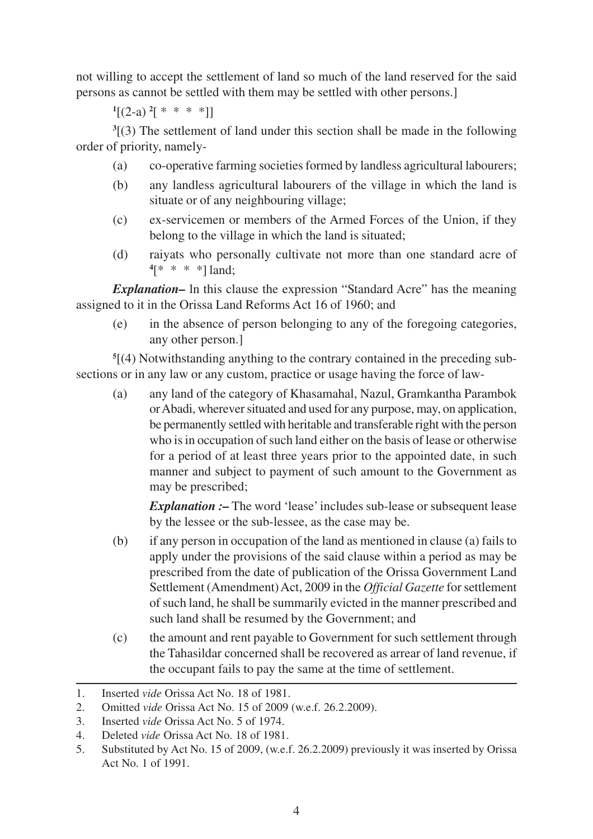not willing to accept the settlement of land so much of the land reserved for the said persons as cannot be settled with them may be settled with other persons.]

 $\binom{1}{2}$  (2-a) <sup>2</sup>[ \* \* \* \*]]

**3** [(3) The settlement of land under this section shall be made in the following order of priority, namely-

- (a) co-operative farming societies formed by landless agricultural labourers;
- (b) any landless agricultural labourers of the village in which the land is situate or of any neighbouring village;
- (c) ex-servicemen or members of the Armed Forces of the Union, if they belong to the village in which the land is situated;
- (d) raiyats who personally cultivate not more than one standard acre of **4** [\* \* \* \*] land;

*Explanation–* ln this clause the expression "Standard Acre" has the meaning assigned to it in the Orissa Land Reforms Act 16 of 1960; and

(e) in the absence of person belonging to any of the foregoing categories, any other person.]

**5** [(4) Notwithstanding anything to the contrary contained in the preceding subsections or in any law or any custom, practice or usage having the force of law-

(a) any land of the category of Khasamahal, Nazul, Gramkantha Parambok or Abadi, wherever situated and used for any purpose, may, on application, be permanently settled with heritable and transferable right with the person who is in occupation of such land either on the basis of lease or otherwise for a period of at least three years prior to the appointed date, in such manner and subject to payment of such amount to the Government as may be prescribed;

*Explanation :*- The word 'lease' includes sub-lease or subsequent lease by the lessee or the sub-lessee, as the case may be.

- (b) if any person in occupation of the land as mentioned in clause (a) fails to apply under the provisions of the said clause within a period as may be prescribed from the date of publication of the Orissa Government Land Settlement (Amendment) Act, 2009 in the *Official Gazette* for settlement of such land, he shall be summarily evicted in the manner prescribed and such land shall be resumed by the Government; and
- (c) the amount and rent payable to Government for such settlement through the Tahasildar concerned shall be recovered as arrear of land revenue, if the occupant fails to pay the same at the time of settlement.

<sup>1.</sup> Inserted *vide* Orissa Act No. 18 of 1981.

<sup>2.</sup> Omitted *vide* Orissa Act No. 15 of 2009 (w.e.f. 26.2.2009).

<sup>3.</sup> Inserted *vide* Orissa Act No. 5 of 1974.

<sup>4.</sup> Deleted *vide* Orissa Act No. 18 of 1981.

<sup>5.</sup> Substituted by Act No. 15 of 2009, (w.e.f. 26.2.2009) previously it was inserted by Orissa Act No. 1 of 1991.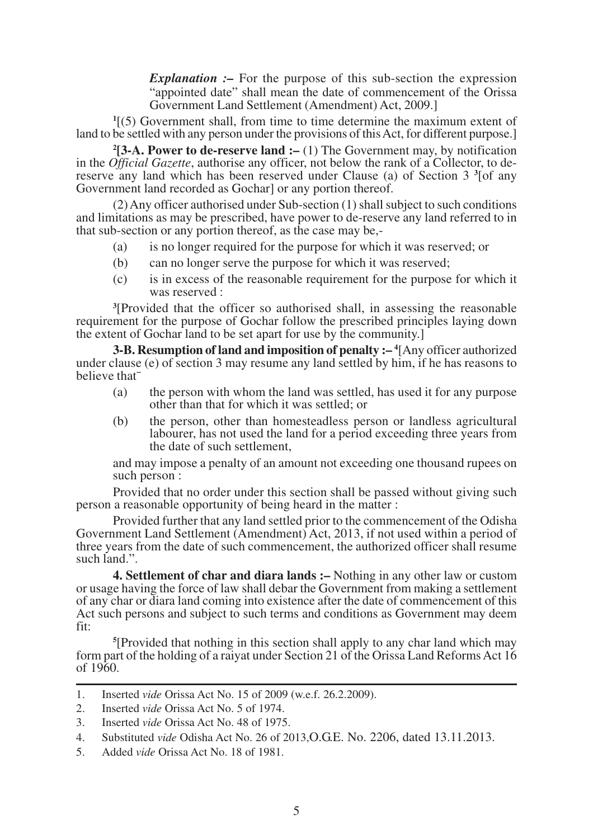*Explanation :–* For the purpose of this sub-section the expression "appointed date" shall mean the date of commencement of the Orissa Government Land Settlement (Amendment) Act, 2009.]

**1** [(5) Government shall, from time to time determine the maximum extent of land to be settled with any person under the provisions of this Act, for different purpose.]

**2 [3-A. Power to de-reserve land :–** (1) The Government may, by notification in the *Official Gazette*, authorise any officer, not below the rank of a Collector, to dereserve any land which has been reserved under Clause (a) of Section 3<sup>3</sup> [of any Government land recorded as Gochar] or any portion thereof.

(2) Any officer authorised under Sub-section (1) shall subject to such conditions and limitations as may be prescribed, have power to de-reserve any land referred to in that sub-section or any portion thereof, as the case may be,-

- (a) is no longer required for the purpose for which it was reserved; or
- (b) can no longer serve the purpose for which it was reserved;
- (c) is in excess of the reasonable requirement for the purpose for which it was reserved :

**3** [Provided that the officer so authorised shall, in assessing the reasonable requirement for the purpose of Gochar follow the prescribed principles laying down the extent of Gochar land to be set apart for use by the community.]

**3-B. Resumption of land and imposition of penalty :– <sup>4</sup>** [Any officer authorized under clause (e) of section 3 may resume any land settled by him, if he has reasons to believe that¯

- (a) the person with whom the land was settled, has used it for any purpose other than that for which it was settled; or
- (b) the person, other than homesteadless person or landless agricultural labourer, has not used the land for a period exceeding three years from the date of such settlement,

and may impose a penalty of an amount not exceeding one thousand rupees on such person:

Provided that no order under this section shall be passed without giving such person a reasonable opportunity of being heard in the matter :

Provided further that any land settled prior to the commencement of the Odisha Government Land Settlement (Amendment) Act, 2013, if not used within a period of three years from the date of such commencement, the authorized officer shall resume such land.".

**4. Settlement of char and diara lands :–** Nothing in any other law or custom or usage having the force of law shall debar the Government from making a settlement of any char or diara land coming into existence after the date of commencement of this Act such persons and subject to such terms and conditions as Government may deem fit:

**5** [Provided that nothing in this section shall apply to any char land which may form part of the holding of a raiyat under Section 21 of the Orissa Land Reforms Act 16 of 1960.

5. Added *vide* Orissa Act No. 18 of 1981.

<sup>1.</sup> Inserted *vide* Orissa Act No. 15 of 2009 (w.e.f. 26.2.2009).

<sup>2.</sup> Inserted *vide* Orissa Act No. 5 of 1974.

<sup>3.</sup> Inserted *vide* Orissa Act No. 48 of 1975.

<sup>4.</sup> Substituted *vide* Odisha Act No. 26 of 2013,O.G.E. No. 2206, dated 13.11.2013.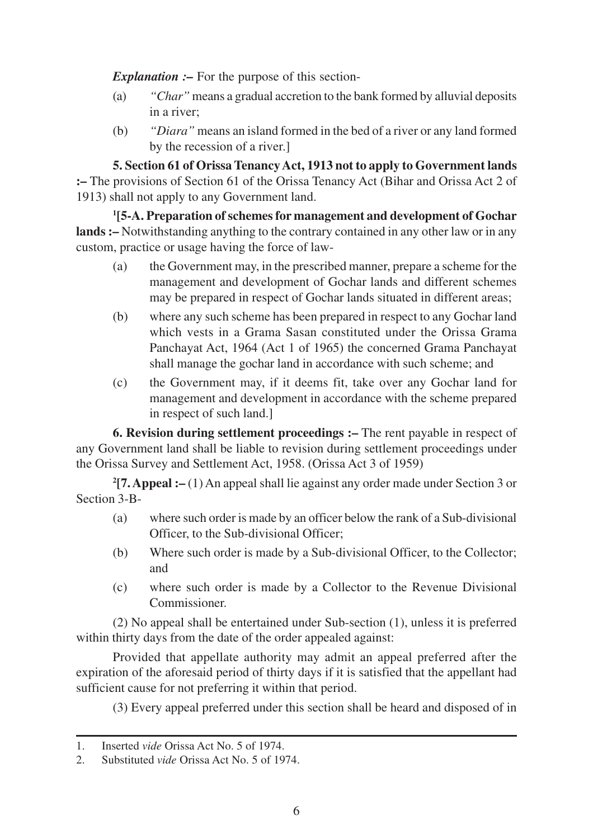*Explanation :–* For the purpose of this section-

- (a) *"Char"* means a gradual accretion to the bank formed by alluvial deposits in a river;
- (b) *"Diara"* means an island formed in the bed of a river or any land formed by the recession of a river.]

**5. Section 61 of Orissa Tenancy Act, 1913 not to apply to Government lands :–** The provisions of Section 61 of the Orissa Tenancy Act (Bihar and Orissa Act 2 of 1913) shall not apply to any Government land.

**1 [5-A. Preparation of schemes for management and development of Gochar lands :–** Notwithstanding anything to the contrary contained in any other law or in any custom, practice or usage having the force of law-

- (a) the Government may, in the prescribed manner, prepare a scheme for the management and development of Gochar lands and different schemes may be prepared in respect of Gochar lands situated in different areas;
- (b) where any such scheme has been prepared in respect to any Gochar land which vests in a Grama Sasan constituted under the Orissa Grama Panchayat Act, 1964 (Act 1 of 1965) the concerned Grama Panchayat shall manage the gochar land in accordance with such scheme; and
- (c) the Government may, if it deems fit, take over any Gochar land for management and development in accordance with the scheme prepared in respect of such land.]

**6. Revision during settlement proceedings :–** The rent payable in respect of any Government land shall be liable to revision during settlement proceedings under the Orissa Survey and Settlement Act, 1958. (Orissa Act 3 of 1959)

**2 [7. Appeal :–** (1) An appeal shall lie against any order made under Section 3 or Section 3-B-

- (a) where such order is made by an officer below the rank of a Sub-divisional Officer, to the Sub-divisional Officer;
- (b) Where such order is made by a Sub-divisional Officer, to the Collector; and
- (c) where such order is made by a Collector to the Revenue Divisional Commissioner.

(2) No appeal shall be entertained under Sub-section (1), unless it is preferred within thirty days from the date of the order appealed against:

Provided that appellate authority may admit an appeal preferred after the expiration of the aforesaid period of thirty days if it is satisfied that the appellant had sufficient cause for not preferring it within that period.

(3) Every appeal preferred under this section shall be heard and disposed of in

<sup>1.</sup> Inserted *vide* Orissa Act No. 5 of 1974.

<sup>2.</sup> Substituted *vide* Orissa Act No. 5 of 1974.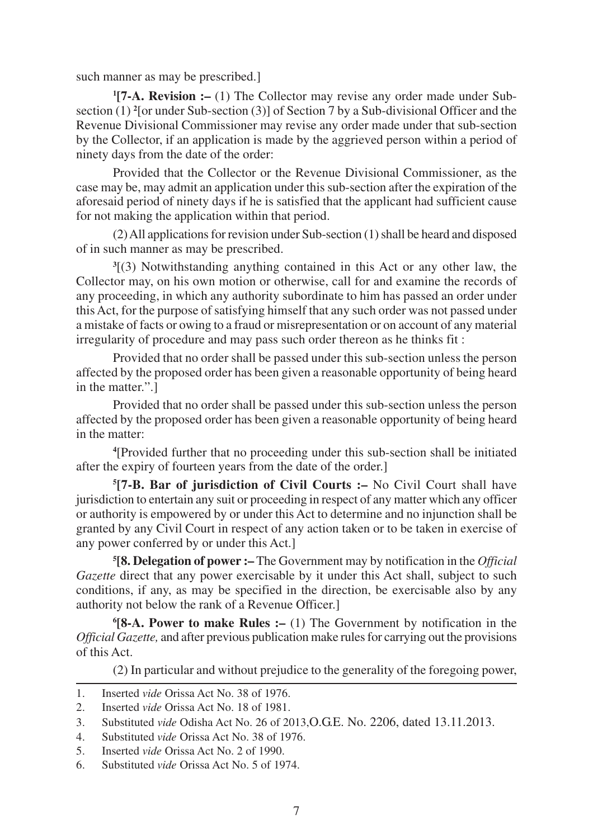such manner as may be prescribed.]

**1 [7-A. Revision :–** (1) The Collector may revise any order made under Subsection (1)<sup>2</sup> [or under Sub-section (3)] of Section 7 by a Sub-divisional Officer and the Revenue Divisional Commissioner may revise any order made under that sub-section by the Collector, if an application is made by the aggrieved person within a period of ninety days from the date of the order:

Provided that the Collector or the Revenue Divisional Commissioner, as the case may be, may admit an application under this sub-section after the expiration of the aforesaid period of ninety days if he is satisfied that the applicant had sufficient cause for not making the application within that period.

(2) All applications for revision under Sub-section (1) shall be heard and disposed of in such manner as may be prescribed.

**3** [(3) Notwithstanding anything contained in this Act or any other law, the Collector may, on his own motion or otherwise, call for and examine the records of any proceeding, in which any authority subordinate to him has passed an order under this Act, for the purpose of satisfying himself that any such order was not passed under a mistake of facts or owing to a fraud or misrepresentation or on account of any material irregularity of procedure and may pass such order thereon as he thinks fit :

Provided that no order shall be passed under this sub-section unless the person affected by the proposed order has been given a reasonable opportunity of being heard in the matter.".]

Provided that no order shall be passed under this sub-section unless the person affected by the proposed order has been given a reasonable opportunity of being heard in the matter:

**4** [Provided further that no proceeding under this sub-section shall be initiated after the expiry of fourteen years from the date of the order.]

**5 [7-B. Bar of jurisdiction of Civil Courts :–** No Civil Court shall have jurisdiction to entertain any suit or proceeding in respect of any matter which any officer or authority is empowered by or under this Act to determine and no injunction shall be granted by any Civil Court in respect of any action taken or to be taken in exercise of any power conferred by or under this Act.]

**5 [8. Delegation of power :–** The Government may by notification in the *Official Gazette* direct that any power exercisable by it under this Act shall, subject to such conditions, if any, as may be specified in the direction, be exercisable also by any authority not below the rank of a Revenue Officer.]

**6 [8-A. Power to make Rules :–** (1) The Government by notification in the *Official Gazette,* and after previous publication make rules for carrying out the provisions of this Act.

(2) In particular and without prejudice to the generality of the foregoing power,

<sup>1.</sup> Inserted *vide* Orissa Act No. 38 of 1976.

<sup>2.</sup> Inserted *vide* Orissa Act No. 18 of 1981.

<sup>3.</sup> Substituted *vide* Odisha Act No. 26 of 2013,O.G.E. No. 2206, dated 13.11.2013.

<sup>4.</sup> Substituted *vide* Orissa Act No. 38 of 1976.

<sup>5.</sup> Inserted *vide* Orissa Act No. 2 of 1990.

<sup>6.</sup> Substituted *vide* Orissa Act No. 5 of 1974.